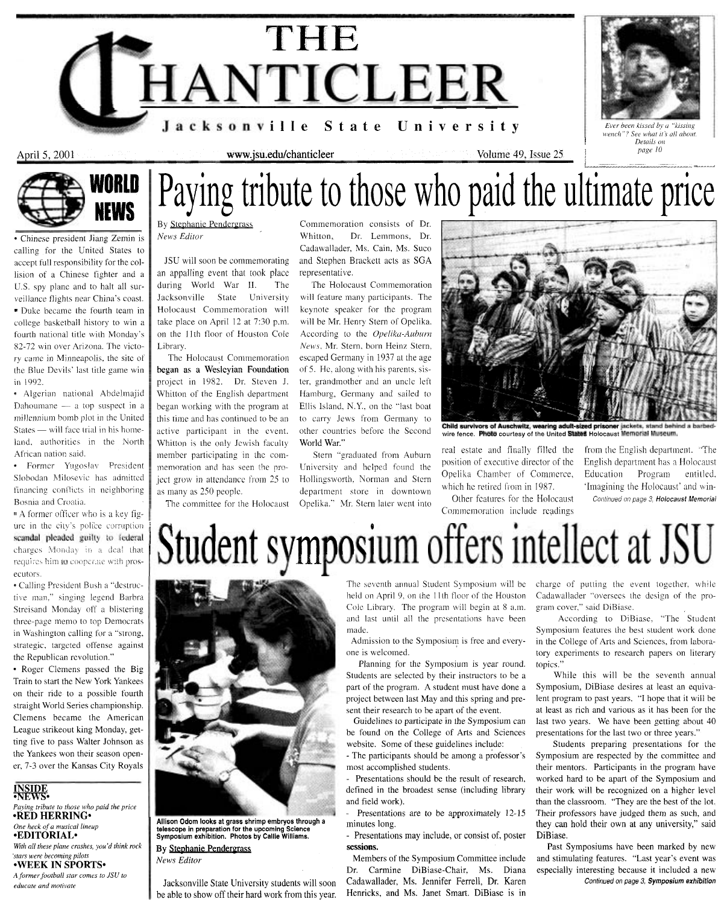## April *5,* 2001 Volume 49, Issue 25 j *page* <sup>10</sup>www.jsu.edu/chanticleer L& ..----- T ---- r **-^I----m** --.;, **i**  Paying tribute to those who paid the ultimate price

an appalling event that took place representative. during World War II. The The Holocaust Commemoration Jacksonville State University will feature many participants. The Holocaust Commemoration will keynote speaker for thc program take place on April 12 at 7:30 p.m. will be Mr. Henry Stern of Opelika. on the 11th floor of Houston Cole According to the *Oyeliku-Auhunz*  Library. *News.* Mr. Stern. born Heinz Stern.

began as a Weslcyian Foundation of *5.* He, along with his parents, sisproject in 1982. Dr. Steven J. ter, grandmother and an unclc left Whitton of the English department Hamhurg, Germany and sailed to began working with the program at Ellis Island, N.Y.. on the "last boat this time and has continued to be an to carry Jews from Germany to Whitton is the only Jewish faculty World War." real estate and finally filled the Srom the English department. "The member participating in the com-<br>member participating in the com- Stern "graduated from Auburn" position of executive director of the English department position of executive director of the English department has a Holocaust remember of the English department has a Holocaust r~iemoration and has wen entitled. openica Chamber of Commerce, Education Program entitled.<br>Section 25 to Hollingsworth, Norman and Stern which he retired from in 1987. Thagining the Holocaust' and win-

urc in thc city's pcilii-e corr1.1piloi-r 1 **9** 

By Stephanie Pendergrass Commemoration consists of Dr. *News* Editor Whitton, Dr. Lemmons, Dr. Cadawallader, Ms. Cain, Ms. Suco JSU will soon be commemorating and Stephen Brackett acts as SGA

The Holocaust Commemoration escaped Germany in 1937 at the age

as many as 250 people.<br>The committee for the Holocaust Opelika." Mr. Stern later went into<br>The committee for the Holocaust Opelika." Mr. Stern later went into



active participant in the event. other countries before the Second wire fence. Photo courtesy of the United States Holocaust Memorial Museum.

Commemoration include readings